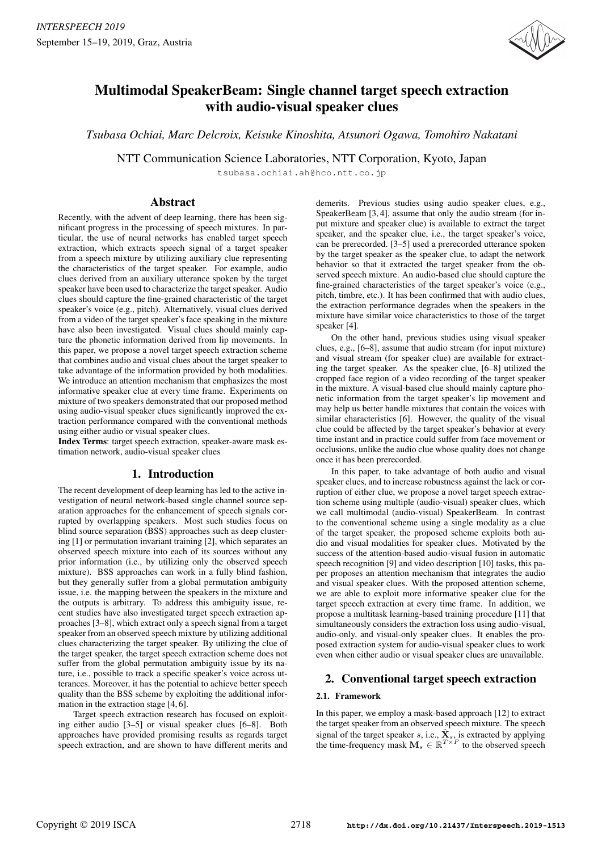

# Multimodal SpeakerBeam: Single channel target speech extraction with audio-visual speaker clues

*Tsubasa Ochiai, Marc Delcroix, Keisuke Kinoshita, Atsunori Ogawa, Tomohiro Nakatani*

NTT Communication Science Laboratories, NTT Corporation, Kyoto, Japan

tsubasa.ochiai.ah@hco.ntt.co.jp

# Abstract

Recently, with the advent of deep learning, there has been significant progress in the processing of speech mixtures. In particular, the use of neural networks has enabled target speech extraction, which extracts speech signal of a target speaker from a speech mixture by utilizing auxiliary clue representing the characteristics of the target speaker. For example, audio clues derived from an auxiliary utterance spoken by the target speaker have been used to characterize the target speaker. Audio clues should capture the fine-grained characteristic of the target speaker's voice (e.g., pitch). Alternatively, visual clues derived from a video of the target speaker's face speaking in the mixture have also been investigated. Visual clues should mainly capture the phonetic information derived from lip movements. In this paper, we propose a novel target speech extraction scheme that combines audio and visual clues about the target speaker to take advantage of the information provided by both modalities. We introduce an attention mechanism that emphasizes the most informative speaker clue at every time frame. Experiments on mixture of two speakers demonstrated that our proposed method using audio-visual speaker clues significantly improved the extraction performance compared with the conventional methods using either audio or visual speaker clues.

Index Terms: target speech extraction, speaker-aware mask estimation network, audio-visual speaker clues

# 1. Introduction

The recent development of deep learning has led to the active investigation of neural network-based single channel source separation approaches for the enhancement of speech signals corrupted by overlapping speakers. Most such studies focus on blind source separation (BSS) approaches such as deep clustering [1] or permutation invariant training [2], which separates an observed speech mixture into each of its sources without any prior information (i.e., by utilizing only the observed speech mixture). BSS approaches can work in a fully blind fashion, but they generally suffer from a global permutation ambiguity issue, i.e. the mapping between the speakers in the mixture and the outputs is arbitrary. To address this ambiguity issue, recent studies have also investigated target speech extraction approaches [3–8], which extract only a speech signal from a target speaker from an observed speech mixture by utilizing additional clues characterizing the target speaker. By utilizing the clue of the target speaker, the target speech extraction scheme does not suffer from the global permutation ambiguity issue by its nature, i.e., possible to track a specific speaker's voice across utterances. Moreover, it has the potential to achieve better speech quality than the BSS scheme by exploiting the additional information in the extraction stage [4, 6].

Target speech extraction research has focused on exploiting either audio [3–5] or visual speaker clues [6–8]. Both approaches have provided promising results as regards target speech extraction, and are shown to have different merits and demerits. Previous studies using audio speaker clues, e.g., SpeakerBeam [3, 4], assume that only the audio stream (for input mixture and speaker clue) is available to extract the target speaker, and the speaker clue, i.e., the target speaker's voice, can be prerecorded. [3–5] used a prerecorded utterance spoken by the target speaker as the speaker clue, to adapt the network behavior so that it extracted the target speaker from the observed speech mixture. An audio-based clue should capture the fine-grained characteristics of the target speaker's voice (e.g., pitch, timbre, etc.). It has been confirmed that with audio clues, the extraction performance degrades when the speakers in the mixture have similar voice characteristics to those of the target speaker [4].

On the other hand, previous studies using visual speaker clues, e.g., [6–8], assume that audio stream (for input mixture) and visual stream (for speaker clue) are available for extracting the target speaker. As the speaker clue, [6–8] utilized the cropped face region of a video recording of the target speaker in the mixture. A visual-based clue should mainly capture phonetic information from the target speaker's lip movement and may help us better handle mixtures that contain the voices with similar characteristics [6]. However, the quality of the visual clue could be affected by the target speaker's behavior at every time instant and in practice could suffer from face movement or occlusions, unlike the audio clue whose quality does not change once it has been prerecorded.

In this paper, to take advantage of both audio and visual speaker clues, and to increase robustness against the lack or corruption of either clue, we propose a novel target speech extraction scheme using multiple (audio-visual) speaker clues, which we call multimodal (audio-visual) SpeakerBeam. In contrast to the conventional scheme using a single modality as a clue of the target speaker, the proposed scheme exploits both audio and visual modalities for speaker clues. Motivated by the success of the attention-based audio-visual fusion in automatic speech recognition [9] and video description [10] tasks, this paper proposes an attention mechanism that integrates the audio and visual speaker clues. With the proposed attention scheme, we are able to exploit more informative speaker clue for the target speech extraction at every time frame. In addition, we propose a multitask learning-based training procedure [11] that simultaneously considers the extraction loss using audio-visual, audio-only, and visual-only speaker clues. It enables the proposed extraction system for audio-visual speaker clues to work even when either audio or visual speaker clues are unavailable.

# 2. Conventional target speech extraction

## 2.1. Framework

In this paper, we employ a mask-based approach [12] to extract the target speaker from an observed speech mixture. The speech signal of the target speaker s, i.e.,  $\hat{\mathbf{X}}_s$ , is extracted by applying the time-frequency mask  $\mathbf{M}_s \in \mathbb{R}^{T \times F}$  to the observed speech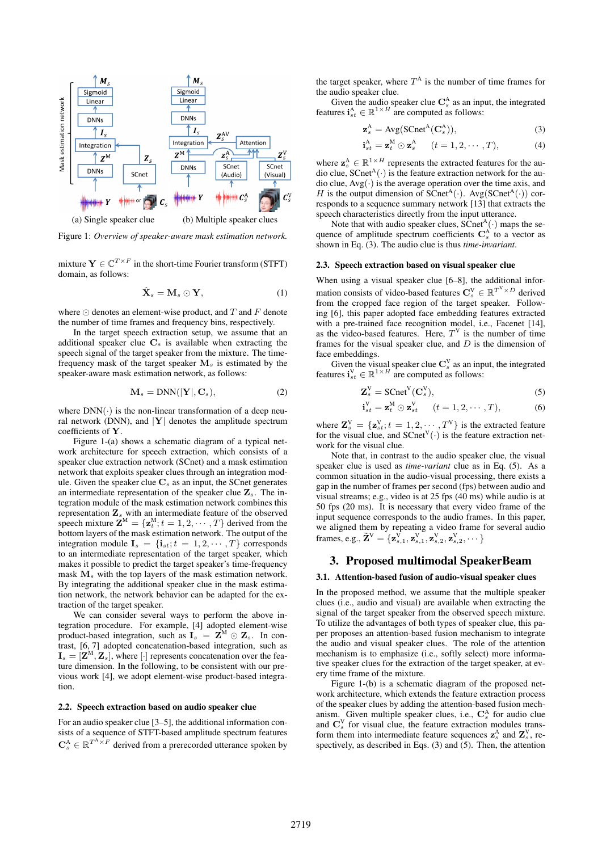

Figure 1: *Overview of speaker-aware mask estimation network.*

mixture  $\mathbf{Y} \in \mathbb{C}^{T \times F}$  in the short-time Fourier transform (STFT) domain, as follows:

$$
\hat{\mathbf{X}}_s = \mathbf{M}_s \odot \mathbf{Y},\tag{1}
$$

where  $\odot$  denotes an element-wise product, and  $T$  and  $F$  denote the number of time frames and frequency bins, respectively.

In the target speech extraction setup, we assume that an additional speaker clue  $C_s$  is available when extracting the speech signal of the target speaker from the mixture. The timefrequency mask of the target speaker  $M<sub>s</sub>$  is estimated by the speaker-aware mask estimation network, as follows:

$$
\mathbf{M}_s = \text{DNN}(|\mathbf{Y}|, \mathbf{C}_s),\tag{2}
$$

where  $DNN(\cdot)$  is the non-linear transformation of a deep neural network (DNN), and  $|Y|$  denotes the amplitude spectrum coefficients of Y.

Figure 1-(a) shows a schematic diagram of a typical network architecture for speech extraction, which consists of a speaker clue extraction network (SCnet) and a mask estimation network that exploits speaker clues through an integration module. Given the speaker clue  $C_s$  as an input, the SCnet generates an intermediate representation of the speaker clue  $\mathbf{Z}_s$ . The integration module of the mask estimation network combines this representation  $\mathbf{Z}_s$  with an intermediate feature of the observed speech mixture  $\mathbf{Z}^{\mathbf{M}} = {\mathbf{z}_t^{\mathbf{M}}; t = 1, 2, \cdots, T}$  derived from the bottom layers of the mask estimation network. The output of the integration module  $I_s = \{i_{st}; t = 1, 2, \cdots, T\}$  corresponds to an intermediate representation of the target speaker, which makes it possible to predict the target speaker's time-frequency mask  $M<sub>s</sub>$  with the top layers of the mask estimation network. By integrating the additional speaker clue in the mask estimation network, the network behavior can be adapted for the extraction of the target speaker.

We can consider several ways to perform the above integration procedure. For example, [4] adopted element-wise product-based integration, such as  $I_s = \mathbf{Z}^M \odot \mathbf{Z}_s$ . In contrast, [6, 7] adopted concatenation-based integration, such as  $\mathbf{I}_s = [\mathbf{Z}^{\text{M}}, \mathbf{Z}_s]$ , where  $[\cdot]$  represents concatenation over the feature dimension. In the following, to be consistent with our previous work [4], we adopt element-wise product-based integration.

#### 2.2. Speech extraction based on audio speaker clue

For an audio speaker clue [3–5], the additional information consists of a sequence of STFT-based amplitude spectrum features  $\mathbf{C}_s^{\mathbf{A}} \in \mathbb{R}^{T^{\mathbf{A}} \times F}$  derived from a prerecorded utterance spoken by

the target speaker, where  $T^A$  is the number of time frames for the audio speaker clue.

Given the audio speaker clue  $\mathbf{C}_s^{\mathbf{A}}$  as an input, the integrated features  $\mathbf{i}_{st}^{\mathbf{A}} \in \mathbb{R}^{1 \times H}$  are computed as follows:

$$
\mathbf{z}_s^{\mathbf{A}} = \text{Avg}(\text{SCnet}^{\mathbf{A}}(\mathbf{C}_s^{\mathbf{A}})),\tag{3}
$$

$$
\mathbf{i}_{st}^{\mathbf{A}} = \mathbf{z}_t^{\mathbf{M}} \odot \mathbf{z}_s^{\mathbf{A}} \qquad (t = 1, 2, \cdots, T), \tag{4}
$$

where  $z_s^A \in \mathbb{R}^{1 \times H}$  represents the extracted features for the audio clue,  $S\text{Cnet}^{A}(\cdot)$  is the feature extraction network for the audio clue,  $Avg(\cdot)$  is the average operation over the time axis, and H is the output dimension of  $SCnet^{A}(\cdot)$ . Avg( $SCnet^{A}(\cdot)$ ) corresponds to a sequence summary network [13] that extracts the speech characteristics directly from the input utterance.

Note that with audio speaker clues,  $\widehat{SC}$ net $\widehat{A}(\cdot)$  maps the sequence of amplitude spectrum coefficients  $\mathbf{C}_s^{\mathbf{A}}$  to a vector as shown in Eq. (3). The audio clue is thus *time-invariant*.

### 2.3. Speech extraction based on visual speaker clue

When using a visual speaker clue [6–8], the additional information consists of video-based features  $\mathbf{C}_s^{\mathrm{V}} \in \mathbb{R}^{T^{\mathrm{V}} \times D}$  derived from the cropped face region of the target speaker. Following [6], this paper adopted face embedding features extracted with a pre-trained face recognition model, i.e., Facenet [14], as the video-based features. Here,  $T<sup>V</sup>$  is the number of time frames for the visual speaker clue, and  $D$  is the dimension of face embeddings.

Given the visual speaker clue  $\mathbf{C}_s^V$  as an input, the integrated features  $\mathbf{i}_{st}^V \in \mathbb{R}^{1 \times H}$  are computed as follows:

$$
\mathbf{Z}_s^{\mathbf{V}} = \mathbf{SCnet}^{\mathbf{V}}(\mathbf{C}_s^{\mathbf{V}}),\tag{5}
$$

$$
\mathbf{i}_{st}^{\mathbf{V}} = \mathbf{z}_t^{\mathbf{M}} \odot \mathbf{z}_{st}^{\mathbf{V}} \qquad (t = 1, 2, \cdots, T), \tag{6}
$$

where  $\mathbf{Z}_s^V = {\mathbf{z}_{st}^V; t = 1, 2, \dots, T^V}$  is the extracted feature for the visual clue, and  $S\text{Cnet}^V(\cdot)$  is the feature extraction network for the visual clue.

Note that, in contrast to the audio speaker clue, the visual speaker clue is used as *time-variant* clue as in Eq. (5). As a common situation in the audio-visual processing, there exists a gap in the number of frames per second (fps) between audio and visual streams; e.g., video is at 25 fps (40 ms) while audio is at 50 fps (20 ms). It is necessary that every video frame of the input sequence corresponds to the audio frames. In this paper, we aligned them by repeating a video frame for several audio frames, e.g.,  $\tilde{Z}^V = \{z_{s,1}^V, z_{s,1}^V, z_{s,2}^V, z_{s,2}^V, \dots\}$ 

# 3. Proposed multimodal SpeakerBeam

# 3.1. Attention-based fusion of audio-visual speaker clues

In the proposed method, we assume that the multiple speaker clues (i.e., audio and visual) are available when extracting the signal of the target speaker from the observed speech mixture. To utilize the advantages of both types of speaker clue, this paper proposes an attention-based fusion mechanism to integrate the audio and visual speaker clues. The role of the attention mechanism is to emphasize (i.e., softly select) more informative speaker clues for the extraction of the target speaker, at every time frame of the mixture.

Figure 1-(b) is a schematic diagram of the proposed network architecture, which extends the feature extraction process of the speaker clues by adding the attention-based fusion mechanism. Given multiple speaker clues, i.e.,  $C_s^A$  for audio clue and  $\mathbf{C}_s^V$  for visual clue, the feature extraction modules transform them into intermediate feature sequences  $z_s^A$  and  $Z_s^V$ , respectively, as described in Eqs. (3) and (5). Then, the attention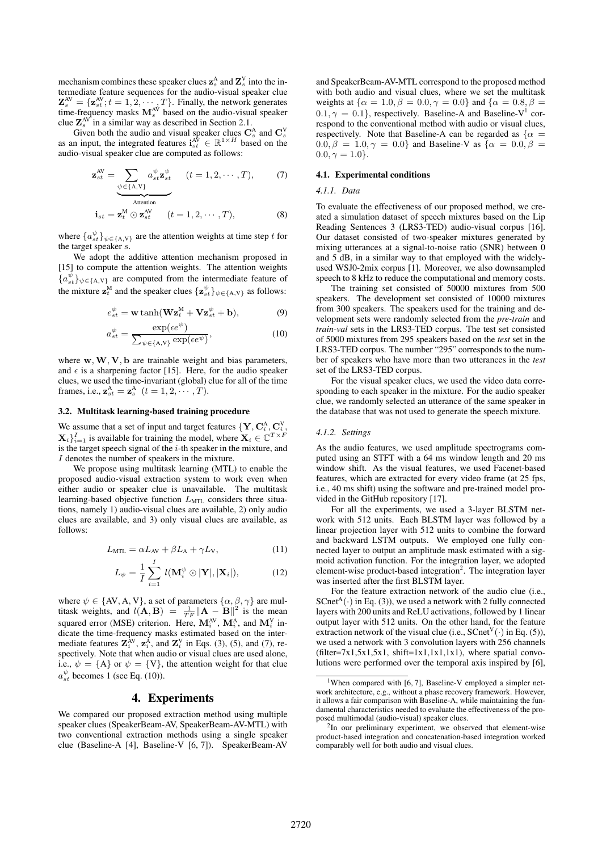mechanism combines these speaker clues  $\mathbf{z}_s^{\text{A}}$  and  $\mathbf{Z}_s^{\text{V}}$  into the intermediate feature sequences for the audio-visual speaker clue  $\mathbf{Z}_{s}^{\text{AV}} = \{\mathbf{z}_{st}^{\text{AV}}; t = 1, 2, \cdots, T\}$ . Finally, the network generates time-frequency masks  $M_s^{\text{AV}}$  based on the audio-visual speaker clue  $\mathbf{Z}_s^{\text{AV}}$  in a similar way as described in Section 2.1.

Given both the audio and visual speaker clues  $\mathbf{C}_s^{\mathbf{A}}$  and  $\mathbf{C}_s^{\mathbf{V}}$  as an input, the integrated features  $\mathbf{i}_{st}^{\mathbf{A}\mathbf{V}} \in \mathbb{R}^{1 \times H}$  based on the audio-visual speaker clue are computed as follows:

$$
\mathbf{z}_{st}^{\text{AV}} = \sum_{\psi \in \{\text{A,V}\}} a_{st}^{\psi} \mathbf{z}_{st}^{\psi} \qquad (t = 1, 2, \cdots, T), \tag{7}
$$

$$
\mathbf{i}_{st} = \mathbf{z}_t^{\text{M}} \odot \mathbf{z}_{st}^{\text{AV}} \qquad (t = 1, 2, \cdots, T), \tag{8}
$$

where  $\{a_{st}^{\psi}\}_{\psi \in \{A, V\}}$  are the attention weights at time step t for the target speaker s.

We adopt the additive attention mechanism proposed in [15] to compute the attention weights. The attention weights  ${a_{st}^{\psi}\}_{\psi \in \{A,V\}}$  are computed from the intermediate feature of the mixture  $\mathbf{z}_t^M$  and the speaker clues  $\{\mathbf{z}_{st}^{\psi}\}_{\psi \in \{\text{A},\text{V}\}}$  as follows:

$$
e_{st}^{\psi} = \mathbf{w} \tanh(\mathbf{W} \mathbf{z}_{t}^{M} + \mathbf{V} \mathbf{z}_{st}^{\psi} + \mathbf{b}), \tag{9}
$$

$$
a_{st}^{\psi} = \frac{\exp(ee^{\psi})}{\sum_{\psi \in \{\text{A}, \text{V}\}} \exp(ee^{\psi})},\tag{10}
$$

where  $w, W, V, b$  are trainable weight and bias parameters, and  $\epsilon$  is a sharpening factor [15]. Here, for the audio speaker clues, we used the time-invariant (global) clue for all of the time frames, i.e.,  $\mathbf{z}_{st}^{\mathbf{A}} = \mathbf{z}_{s}^{\mathbf{A}}$   $(t = 1, 2, \cdots, T)$ .

### 3.2. Multitask learning-based training procedure

We assume that a set of input and target features  $\{Y, C_i^A, C_i^V,$  $\mathbf{X}_i\}_{i=1}^I$  is available for training the model, where  $\mathbf{X}_i \in \mathbb{C}^{T \times F}$ is the target speech signal of the  $i$ -th speaker in the mixture, and I denotes the number of speakers in the mixture.

We propose using multitask learning (MTL) to enable the proposed audio-visual extraction system to work even when either audio or speaker clue is unavailable. The multitask learning-based objective function  $L_{\text{MTL}}$  considers three situations, namely 1) audio-visual clues are available, 2) only audio clues are available, and 3) only visual clues are available, as follows:

$$
L_{\text{MTL}} = \alpha L_{\text{AV}} + \beta L_{\text{A}} + \gamma L_{\text{V}},\tag{11}
$$

$$
L_{\psi} = \frac{1}{I} \sum_{i=1}^{I} l(\mathbf{M}_{i}^{\psi} \odot |\mathbf{Y}|, |\mathbf{X}_{i}|), \qquad (12)
$$

where  $\psi \in \{AV, A, V\}$ , a set of parameters  $\{\alpha, \beta, \gamma\}$  are multitask weights, and  $l(\mathbf{A}, \mathbf{B}) = \frac{1}{TF} ||\mathbf{A} - \mathbf{B}||^2$  is the mean squared error (MSE) criterion. Here,  $\mathbf{M}_i^{\text{AV}}$ ,  $\mathbf{M}_i^{\text{A}}$ , and  $\mathbf{M}_i^{\text{V}}$  indicate the time-frequency masks estimated based on the intermediate features  $\mathbf{Z}_{i}^{\text{AV}}, \mathbf{z}_{i}^{\text{A}}$ , and  $\mathbf{Z}_{i}^{\text{V}}$  in Eqs. (3), (5), and (7), respectively. Note that when audio or visual clues are used alone, i.e.,  $\psi = \{A\}$  or  $\psi = \{V\}$ , the attention weight for that clue  $a_{st}^{\psi}$  becomes 1 (see Eq. (10)).

## 4. Experiments

We compared our proposed extraction method using multiple speaker clues (SpeakerBeam-AV, SpeakerBeam-AV-MTL) with two conventional extraction methods using a single speaker clue (Baseline-A [4], Baseline-V [6, 7]). SpeakerBeam-AV

and SpeakerBeam-AV-MTL correspond to the proposed method with both audio and visual clues, where we set the multitask weights at  $\{\alpha = 1.0, \beta = 0.0, \gamma = 0.0\}$  and  $\{\alpha = 0.8, \beta =$  $0.1, \gamma = 0.1$ , respectively. Baseline-A and Baseline-V<sup>1</sup> correspond to the conventional method with audio or visual clues, respectively. Note that Baseline-A can be regarded as  $\{\alpha =$  $0.0, \beta = 1.0, \gamma = 0.0$ } and Baseline-V as  $\{\alpha = 0.0, \beta =$  $0.0, \gamma = 1.0$ .

## 4.1. Experimental conditions

## *4.1.1. Data*

To evaluate the effectiveness of our proposed method, we created a simulation dataset of speech mixtures based on the Lip Reading Sentences 3 (LRS3-TED) audio-visual corpus [16]. Our dataset consisted of two-speaker mixtures generated by mixing utterances at a signal-to-noise ratio (SNR) between 0 and 5 dB, in a similar way to that employed with the widelyused WSJ0-2mix corpus [1]. Moreover, we also downsampled speech to 8 kHz to reduce the computational and memory costs.

The training set consisted of 50000 mixtures from 500 speakers. The development set consisted of 10000 mixtures from 300 speakers. The speakers used for the training and development sets were randomly selected from the *pre-train* and *train-val* sets in the LRS3-TED corpus. The test set consisted of 5000 mixtures from 295 speakers based on the *test* set in the LRS3-TED corpus. The number "295" corresponds to the number of speakers who have more than two utterances in the *test* set of the LRS3-TED corpus.

For the visual speaker clues, we used the video data corresponding to each speaker in the mixture. For the audio speaker clue, we randomly selected an utterance of the same speaker in the database that was not used to generate the speech mixture.

#### *4.1.2. Settings*

As the audio features, we used amplitude spectrograms computed using an STFT with a 64 ms window length and 20 ms window shift. As the visual features, we used Facenet-based features, which are extracted for every video frame (at 25 fps, i.e., 40 ms shift) using the software and pre-trained model provided in the GitHub repository [17].

For all the experiments, we used a 3-layer BLSTM network with 512 units. Each BLSTM layer was followed by a linear projection layer with 512 units to combine the forward and backward LSTM outputs. We employed one fully connected layer to output an amplitude mask estimated with a sigmoid activation function. For the integration layer, we adopted element-wise product-based integration<sup>2</sup>. The integration layer was inserted after the first BLSTM layer.

For the feature extraction network of the audio clue (i.e.,  $SCnet^{A}(\cdot)$  in Eq. (3)), we used a network with 2 fully connected layers with 200 units and ReLU activations, followed by 1 linear output layer with 512 units. On the other hand, for the feature extraction network of the visual clue (i.e.,  ${SCnet}^V(\cdot)$  in Eq. (5)), we used a network with 3 convolution layers with 256 channels  $(filter=7x1,5x1,5x1, shift=1x1,1x1,1x1)$ , where spatial convolutions were performed over the temporal axis inspired by [6],

<sup>&</sup>lt;sup>1</sup>When compared with [6, 7], Baseline-V employed a simpler network architecture, e.g., without a phase recovery framework. However, it allows a fair comparison with Baseline-A, while maintaining the fundamental characteristics needed to evaluate the effectiveness of the proposed multimodal (audio-visual) speaker clues.

<sup>&</sup>lt;sup>2</sup>In our preliminary experiment, we observed that element-wise product-based integration and concatenation-based integration worked comparably well for both audio and visual clues.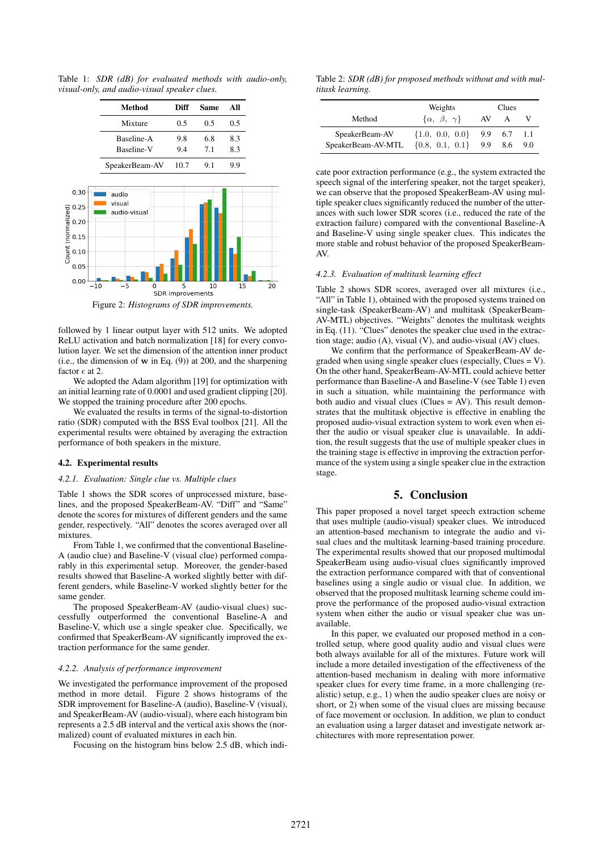Table 1: *SDR (dB) for evaluated methods with audio-only, visual-only, and audio-visual speaker clues.*



Figure 2: *Histograms of SDR improvements.*

followed by 1 linear output layer with 512 units. We adopted ReLU activation and batch normalization [18] for every convolution layer. We set the dimension of the attention inner product (i.e., the dimension of w in Eq. (9)) at 200, and the sharpening factor  $\epsilon$  at 2.

We adopted the Adam algorithm [19] for optimization with an initial learning rate of 0.0001 and used gradient clipping [20]. We stopped the training procedure after 200 epochs.

We evaluated the results in terms of the signal-to-distortion ratio (SDR) computed with the BSS Eval toolbox [21]. All the experimental results were obtained by averaging the extraction performance of both speakers in the mixture.

# 4.2. Experimental results

#### *4.2.1. Evaluation: Single clue vs. Multiple clues*

Table 1 shows the SDR scores of unprocessed mixture, baselines, and the proposed SpeakerBeam-AV. "Diff" and "Same" denote the scores for mixtures of different genders and the same gender, respectively. "All" denotes the scores averaged over all mixtures.

From Table 1, we confirmed that the conventional Baseline-A (audio clue) and Baseline-V (visual clue) performed comparably in this experimental setup. Moreover, the gender-based results showed that Baseline-A worked slightly better with different genders, while Baseline-V worked slightly better for the same gender.

The proposed SpeakerBeam-AV (audio-visual clues) successfully outperformed the conventional Baseline-A and Baseline-V, which use a single speaker clue. Specifically, we confirmed that SpeakerBeam-AV significantly improved the extraction performance for the same gender.

## *4.2.2. Analysis of performance improvement*

We investigated the performance improvement of the proposed method in more detail. Figure 2 shows histograms of the SDR improvement for Baseline-A (audio), Baseline-V (visual), and SpeakerBeam-AV (audio-visual), where each histogram bin represents a 2.5 dB interval and the vertical axis shows the (normalized) count of evaluated mixtures in each bin.

Focusing on the histogram bins below 2.5 dB, which indi-

Table 2: *SDR (dB) for proposed methods without and with multitask learning.*

|                                      | Weights                                    | Clues |                |            |
|--------------------------------------|--------------------------------------------|-------|----------------|------------|
| Method                               | $\{\alpha, \beta, \gamma\}$                | AV    | A              |            |
| SpeakerBeam-AV<br>SpeakerBeam-AV-MTL | $\{1.0, 0.0, 0.0\}$<br>$\{0.8, 0.1, 0.1\}$ | 9.9   | 9.9 6.7<br>8.6 | 1.1<br>9.0 |

cate poor extraction performance (e.g., the system extracted the speech signal of the interfering speaker, not the target speaker), we can observe that the proposed SpeakerBeam-AV using multiple speaker clues significantly reduced the number of the utterances with such lower SDR scores (i.e., reduced the rate of the extraction failure) compared with the conventional Baseline-A and Baseline-V using single speaker clues. This indicates the more stable and robust behavior of the proposed SpeakerBeam-AV.

## *4.2.3. Evaluation of multitask learning effect*

Table 2 shows SDR scores, averaged over all mixtures (i.e., "All" in Table 1), obtained with the proposed systems trained on single-task (SpeakerBeam-AV) and multitask (SpeakerBeam-AV-MTL) objectives. "Weights" denotes the multitask weights in Eq. (11). "Clues" denotes the speaker clue used in the extraction stage; audio (A), visual (V), and audio-visual (AV) clues.

We confirm that the performance of SpeakerBeam-AV degraded when using single speaker clues (especially,  $\text{Clues} = \text{V}$ ). On the other hand, SpeakerBeam-AV-MTL could achieve better performance than Baseline-A and Baseline-V (see Table 1) even in such a situation, while maintaining the performance with both audio and visual clues (Clues = AV). This result demonstrates that the multitask objective is effective in enabling the proposed audio-visual extraction system to work even when either the audio or visual speaker clue is unavailable. In addition, the result suggests that the use of multiple speaker clues in the training stage is effective in improving the extraction performance of the system using a single speaker clue in the extraction stage.

# 5. Conclusion

This paper proposed a novel target speech extraction scheme that uses multiple (audio-visual) speaker clues. We introduced an attention-based mechanism to integrate the audio and visual clues and the multitask learning-based training procedure. The experimental results showed that our proposed multimodal SpeakerBeam using audio-visual clues significantly improved the extraction performance compared with that of conventional baselines using a single audio or visual clue. In addition, we observed that the proposed multitask learning scheme could improve the performance of the proposed audio-visual extraction system when either the audio or visual speaker clue was unavailable.

In this paper, we evaluated our proposed method in a controlled setup, where good quality audio and visual clues were both always available for all of the mixtures. Future work will include a more detailed investigation of the effectiveness of the attention-based mechanism in dealing with more informative speaker clues for every time frame, in a more challenging (realistic) setup, e.g., 1) when the audio speaker clues are noisy or short, or 2) when some of the visual clues are missing because of face movement or occlusion. In addition, we plan to conduct an evaluation using a larger dataset and investigate network architectures with more representation power.